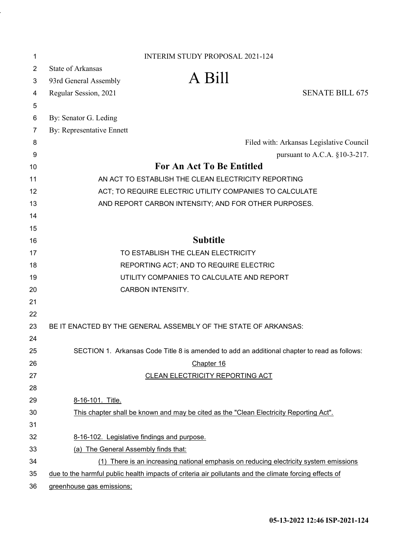| 1              | <b>INTERIM STUDY PROPOSAL 2021-124</b>                                                                 |                                                                                              |
|----------------|--------------------------------------------------------------------------------------------------------|----------------------------------------------------------------------------------------------|
| $\overline{2}$ | <b>State of Arkansas</b>                                                                               |                                                                                              |
| 3              | A Bill<br>93rd General Assembly                                                                        |                                                                                              |
| 4              | Regular Session, 2021                                                                                  | <b>SENATE BILL 675</b>                                                                       |
| 5              |                                                                                                        |                                                                                              |
| 6              | By: Senator G. Leding                                                                                  |                                                                                              |
| 7              | By: Representative Ennett                                                                              |                                                                                              |
| 8              |                                                                                                        | Filed with: Arkansas Legislative Council                                                     |
| 9              |                                                                                                        | pursuant to A.C.A. §10-3-217.                                                                |
| 10             | <b>For An Act To Be Entitled</b>                                                                       |                                                                                              |
| 11             | AN ACT TO ESTABLISH THE CLEAN ELECTRICITY REPORTING                                                    |                                                                                              |
| 12             | ACT; TO REQUIRE ELECTRIC UTILITY COMPANIES TO CALCULATE                                                |                                                                                              |
| 13             | AND REPORT CARBON INTENSITY; AND FOR OTHER PURPOSES.                                                   |                                                                                              |
| 14             |                                                                                                        |                                                                                              |
| 15             |                                                                                                        |                                                                                              |
| 16             | <b>Subtitle</b>                                                                                        |                                                                                              |
| 17             | TO ESTABLISH THE CLEAN ELECTRICITY                                                                     |                                                                                              |
| 18             | REPORTING ACT; AND TO REQUIRE ELECTRIC                                                                 |                                                                                              |
| 19             | UTILITY COMPANIES TO CALCULATE AND REPORT                                                              |                                                                                              |
| 20             | <b>CARBON INTENSITY.</b>                                                                               |                                                                                              |
| 21             |                                                                                                        |                                                                                              |
| 22             |                                                                                                        |                                                                                              |
| 23             | BE IT ENACTED BY THE GENERAL ASSEMBLY OF THE STATE OF ARKANSAS:                                        |                                                                                              |
| 24             |                                                                                                        |                                                                                              |
| 25             |                                                                                                        | SECTION 1. Arkansas Code Title 8 is amended to add an additional chapter to read as follows: |
| 26             | Chapter 16                                                                                             |                                                                                              |
| 27             | CLEAN ELECTRICITY REPORTING ACT                                                                        |                                                                                              |
| 28             |                                                                                                        |                                                                                              |
| 29             | 8-16-101. Title.                                                                                       |                                                                                              |
| 30             | This chapter shall be known and may be cited as the "Clean Electricity Reporting Act".                 |                                                                                              |
| 31             |                                                                                                        |                                                                                              |
| 32             | 8-16-102. Legislative findings and purpose.                                                            |                                                                                              |
| 33             | (a) The General Assembly finds that:                                                                   |                                                                                              |
| 34             |                                                                                                        | (1) There is an increasing national emphasis on reducing electricity system emissions        |
| 35             | due to the harmful public health impacts of criteria air pollutants and the climate forcing effects of |                                                                                              |
| 36             | greenhouse gas emissions;                                                                              |                                                                                              |

l,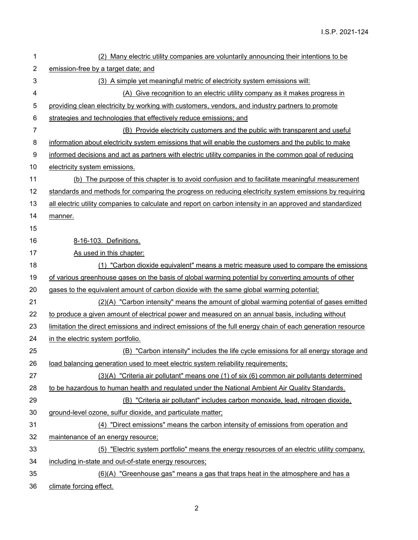| 1              | (2) Many electric utility companies are voluntarily announcing their intentions to be                       |
|----------------|-------------------------------------------------------------------------------------------------------------|
| $\overline{2}$ | emission-free by a target date; and                                                                         |
| 3              | (3) A simple yet meaningful metric of electricity system emissions will:                                    |
| 4              | (A) Give recognition to an electric utility company as it makes progress in                                 |
| 5              | providing clean electricity by working with customers, vendors, and industry partners to promote            |
| 6              | strategies and technologies that effectively reduce emissions; and                                          |
| $\overline{7}$ | (B) Provide electricity customers and the public with transparent and useful                                |
| 8              | information about electricity system emissions that will enable the customers and the public to make        |
| 9              | informed decisions and act as partners with electric utility companies in the common goal of reducing       |
| 10             | electricity system emissions.                                                                               |
| 11             | (b) The purpose of this chapter is to avoid confusion and to facilitate meaningful measurement              |
| 12             | standards and methods for comparing the progress on reducing electricity system emissions by requiring      |
| 13             | all electric utility companies to calculate and report on carbon intensity in an approved and standardized  |
| 14             | manner.                                                                                                     |
| 15             |                                                                                                             |
| 16             | 8-16-103. Definitions.                                                                                      |
| 17             | As used in this chapter:                                                                                    |
| 18             | (1) "Carbon dioxide equivalent" means a metric measure used to compare the emissions                        |
| 19             | of various greenhouse gases on the basis of global warming potential by converting amounts of other         |
| 20             | gases to the equivalent amount of carbon dioxide with the same global warming potential;                    |
| 21             | (2)(A) "Carbon intensity" means the amount of global warming potential of gases emitted                     |
| 22             | to produce a given amount of electrical power and measured on an annual basis, including without            |
| 23             | limitation the direct emissions and indirect emissions of the full energy chain of each generation resource |
| 24             | in the electric system portfolio.                                                                           |
| 25             | (B) "Carbon intensity" includes the life cycle emissions for all energy storage and                         |
| 26             | load balancing generation used to meet electric system reliability requirements;                            |
| 27             | (3)(A) "Criteria air pollutant" means one (1) of six (6) common air pollutants determined                   |
| 28             | to be hazardous to human health and regulated under the National Ambient Air Quality Standards.             |
| 29             | (B) "Criteria air pollutant" includes carbon monoxide, lead, nitrogen dioxide,                              |
| 30             | ground-level ozone, sulfur dioxide, and particulate matter;                                                 |
| 31             | (4) "Direct emissions" means the carbon intensity of emissions from operation and                           |
| 32             | maintenance of an energy resource;                                                                          |
| 33             | (5) "Electric system portfolio" means the energy resources of an electric utility company,                  |
| 34             | including in-state and out-of-state energy resources;                                                       |
| 35             | (6)(A) "Greenhouse gas" means a gas that traps heat in the atmosphere and has a                             |
| 36             | climate forcing effect.                                                                                     |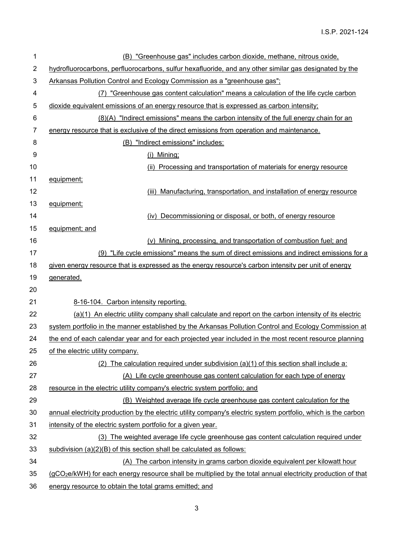| 1              | (B) "Greenhouse gas" includes carbon dioxide, methane, nitrous oxide,                                                    |
|----------------|--------------------------------------------------------------------------------------------------------------------------|
| $\overline{2}$ | hydrofluorocarbons, perfluorocarbons, sulfur hexafluoride, and any other similar gas designated by the                   |
| 3              | Arkansas Pollution Control and Ecology Commission as a "greenhouse gas";                                                 |
| 4              | (7) "Greenhouse gas content calculation" means a calculation of the life cycle carbon                                    |
| 5              | dioxide equivalent emissions of an energy resource that is expressed as carbon intensity;                                |
| 6              | (8)(A) "Indirect emissions" means the carbon intensity of the full energy chain for an                                   |
| 7              | energy resource that is exclusive of the direct emissions from operation and maintenance.                                |
| 8              | (B) "Indirect emissions" includes:                                                                                       |
| 9              | (i) Mining;                                                                                                              |
| 10             | (ii) Processing and transportation of materials for energy resource                                                      |
| 11             | equipment;                                                                                                               |
| 12             | (iii) Manufacturing, transportation, and installation of energy resource                                                 |
| 13             | equipment;                                                                                                               |
| 14             | (iv) Decommissioning or disposal, or both, of energy resource                                                            |
| 15             | equipment; and                                                                                                           |
| 16             | (v) Mining, processing, and transportation of combustion fuel; and                                                       |
| 17             | (9) "Life cycle emissions" means the sum of direct emissions and indirect emissions for a                                |
| 18             | given energy resource that is expressed as the energy resource's carbon intensity per unit of energy                     |
| 19             | generated.                                                                                                               |
| 20             |                                                                                                                          |
| 21             | 8-16-104. Carbon intensity reporting.                                                                                    |
| 22             | (a)(1) An electric utility company shall calculate and report on the carbon intensity of its electric                    |
| 23             | system portfolio in the manner established by the Arkansas Pollution Control and Ecology Commission at                   |
| 24             | the end of each calendar year and for each projected year included in the most recent resource planning                  |
| 25             | of the electric utility company.                                                                                         |
| 26             | (2) The calculation required under subdivision (a)(1) of this section shall include a:                                   |
| 27             | (A) Life cycle greenhouse gas content calculation for each type of energy                                                |
| 28             | resource in the electric utility company's electric system portfolio; and                                                |
| 29             | (B) Weighted average life cycle greenhouse gas content calculation for the                                               |
| 30             | annual electricity production by the electric utility company's electric system portfolio, which is the carbon           |
| 31             | intensity of the electric system portfolio for a given year.                                                             |
| 32             | (3) The weighted average life cycle greenhouse gas content calculation required under                                    |
| 33             | subdivision (a)(2)(B) of this section shall be calculated as follows:                                                    |
| 34             | (A) The carbon intensity in grams carbon dioxide equivalent per kilowatt hour                                            |
| 35             | (gCO <sub>2</sub> e/kWH) for each energy resource shall be multiplied by the total annual electricity production of that |
| 36             | energy resource to obtain the total grams emitted; and                                                                   |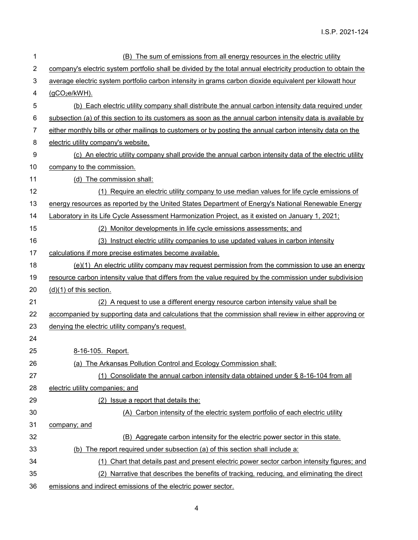| 1              | (B) The sum of emissions from all energy resources in the electric utility                                    |
|----------------|---------------------------------------------------------------------------------------------------------------|
| $\overline{c}$ | company's electric system portfolio shall be divided by the total annual electricity production to obtain the |
| 3              | average electric system portfolio carbon intensity in grams carbon dioxide equivalent per kilowatt hour       |
| 4              | $(gCO2e/kWH)$ .                                                                                               |
| 5              | (b) Each electric utility company shall distribute the annual carbon intensity data required under            |
| 6              | subsection (a) of this section to its customers as soon as the annual carbon intensity data is available by   |
| 7              | either monthly bills or other mailings to customers or by posting the annual carbon intensity data on the     |
| 8              | electric utility company's website.                                                                           |
| 9              | (c) An electric utility company shall provide the annual carbon intensity data of the electric utility        |
| 10             | company to the commission.                                                                                    |
| 11             | (d) The commission shall:                                                                                     |
| 12             | (1) Require an electric utility company to use median values for life cycle emissions of                      |
| 13             | energy resources as reported by the United States Department of Energy's National Renewable Energy            |
| 14             | Laboratory in its Life Cycle Assessment Harmonization Project, as it existed on January 1, 2021;              |
| 15             | (2) Monitor developments in life cycle emissions assessments; and                                             |
| 16             | (3) Instruct electric utility companies to use updated values in carbon intensity                             |
| 17             | calculations if more precise estimates become available.                                                      |
| 18             | $(e)(1)$ An electric utility company may request permission from the commission to use an energy              |
| 19             | resource carbon intensity value that differs from the value required by the commission under subdivision      |
| 20             | $(d)(1)$ of this section.                                                                                     |
| 21             | (2) A request to use a different energy resource carbon intensity value shall be                              |
| 22             | accompanied by supporting data and calculations that the commission shall review in either approving or       |
| 23             | denying the electric utility company's request.                                                               |
| 24             |                                                                                                               |
| 25             | 8-16-105. Report.                                                                                             |
| 26             | (a) The Arkansas Pollution Control and Ecology Commission shall:                                              |
| 27             | (1) Consolidate the annual carbon intensity data obtained under § 8-16-104 from all                           |
| 28             | electric utility companies; and                                                                               |
| 29             | (2) Issue a report that details the:                                                                          |
| 30             | (A) Carbon intensity of the electric system portfolio of each electric utility                                |
| 31             | company; and                                                                                                  |
| 32             | (B) Aggregate carbon intensity for the electric power sector in this state.                                   |
| 33             | (b) The report required under subsection (a) of this section shall include a:                                 |
| 34             | Chart that details past and present electric power sector carbon intensity figures; and<br>(1)                |
| 35             | (2) Narrative that describes the benefits of tracking, reducing, and eliminating the direct                   |
| 36             | emissions and indirect emissions of the electric power sector.                                                |